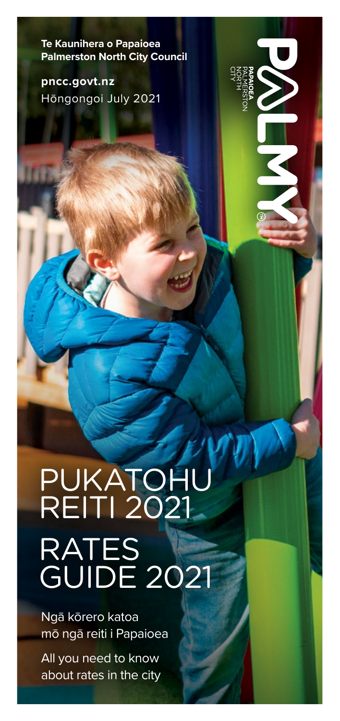**Te Kaunihera o Papaioea Palmerston North City Council**

**pncc.govt.nz** Hōngongoi July 2021

### PUKATOHU REITI 2021 RATES GUIDE 2021

Ngā kōrero katoa mō ngā reiti i Papaioea

All you need to know about rates in the city

PNCC Rates Booklet 2021 **1**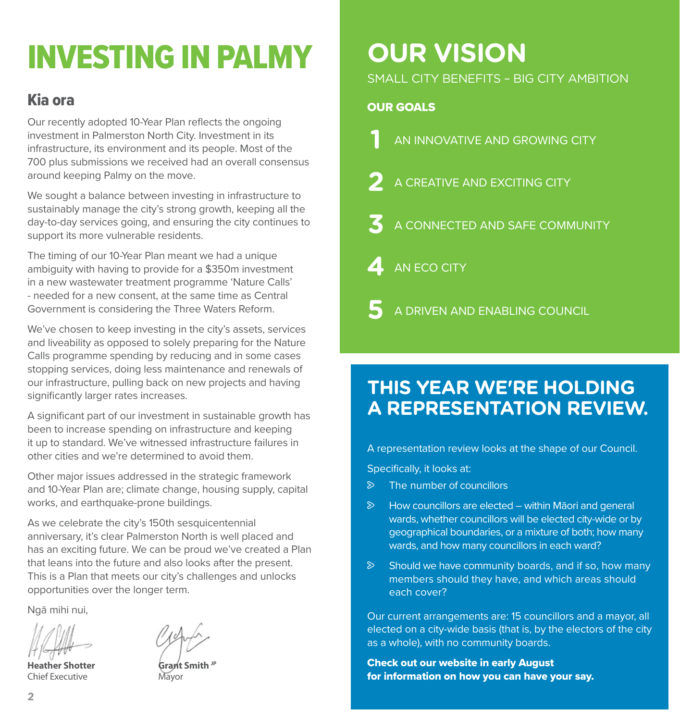# INVESTING IN PALMY

### Kia ora

Our recently adopted 10-Year Plan reflects the ongoing investment in Palmerston North City. Investment in its infrastructure, its environment and its people. Most of the 700 plus submissions we received had an overall consensus around keeping Palmy on the move.

We sought a balance between investing in infrastructure to sustainably manage the city's strong growth, keeping all the day-to-day services going, and ensuring the city continues to support its more vulnerable residents.

The timing of our 10-Year Plan meant we had a unique ambiguity with having to provide for a \$350m investment in a new wastewater treatment programme 'Nature Calls' - needed for a new consent, at the same time as Central Government is considering the Three Waters Reform.

We've chosen to keep investing in the city's assets, services and liveability as opposed to solely preparing for the Nature Calls programme spending by reducing and in some cases stopping services, doing less maintenance and renewals of our infrastructure, pulling back on new projects and having significantly larger rates increases.

A significant part of our investment in sustainable growth has been to increase spending on infrastructure and keeping it up to standard. We've witnessed infrastructure failures in other cities and we're determined to avoid them.

Other major issues addressed in the strategic framework and 10-Year Plan are; climate change, housing supply, capital works, and earthquake-prone buildings.

As we celebrate the city's 150th sesquicentennial anniversary, it's clear Palmerston North is well placed and has an exciting future. We can be proud we've created a Plan that leans into the future and also looks after the present. This is a Plan that meets our city's challenges and unlocks opportunities over the longer term.

Ngā mihi nui,

**Heather Shotter Grant Smith** Chief Executive Mayor



### **OUR VISION**

SMALL CITY BENEFITS – BIG CITY AMBITION

### OUR GOALS

- **AN INNOVATIVE AND GROWING CITY**
- **2** A CREATIVE AND EXCITING CITY
- **3** A CONNECTED AND SAFE COMMUNITY
- **4** AN ECO CITY

**5** A DRIVEN AND ENABLING COUNCIL

### **THIS YEAR WE'RE HOLDING A REPRESENTATION REVIEW.**

A representation review looks at the shape of our Council.

Specifically, it looks at:

- $\triangleright$  The number of councillors
- $\triangleright$  How councillors are elected within Māori and general wards, whether councillors will be elected city-wide or by geographical boundaries, or a mixture of both; how many wards, and how many councillors in each ward?
- $\triangleright$  Should we have community boards, and if so, how many members should they have, and which areas should each cover?

Our current arrangements are: 15 councillors and a mayor, all elected on a city-wide basis (that is, by the electors of the city as a whole), with no community boards.

Check out our website in early August for information on how you can have your say.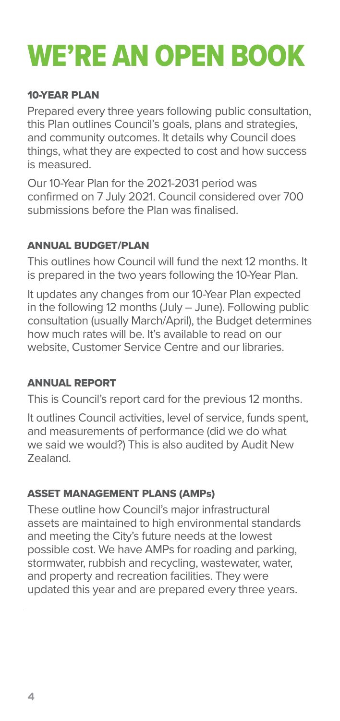### WE'RE AN OPEN BOOK

### 10-YEAR PLAN

Prepared every three years following public consultation, this Plan outlines Council's goals, plans and strategies, and community outcomes. It details why Council does things, what they are expected to cost and how success is measured.

Our 10-Year Plan for the 2021-2031 period was confirmed on 7 July 2021. Council considered over 700 submissions before the Plan was finalised.

### ANNUAL BUDGET/PLAN

This outlines how Council will fund the next 12 months. It is prepared in the two years following the 10-Year Plan.

It updates any changes from our 10-Year Plan expected in the following 12 months (July – June). Following public consultation (usually March/April), the Budget determines how much rates will be. It's available to read on our website, Customer Service Centre and our libraries.

### ANNUAL REPORT

This is Council's report card for the previous 12 months.

It outlines Council activities, level of service, funds spent, and measurements of performance (did we do what we said we would?) This is also audited by Audit New Zealand.

### ASSET MANAGEMENT PLANS (AMPs)

These outline how Council's major infrastructural assets are maintained to high environmental standards and meeting the City's future needs at the lowest possible cost. We have AMPs for roading and parking, stormwater, rubbish and recycling, wastewater, water, and property and recreation facilities. They were updated this year and are prepared every three years.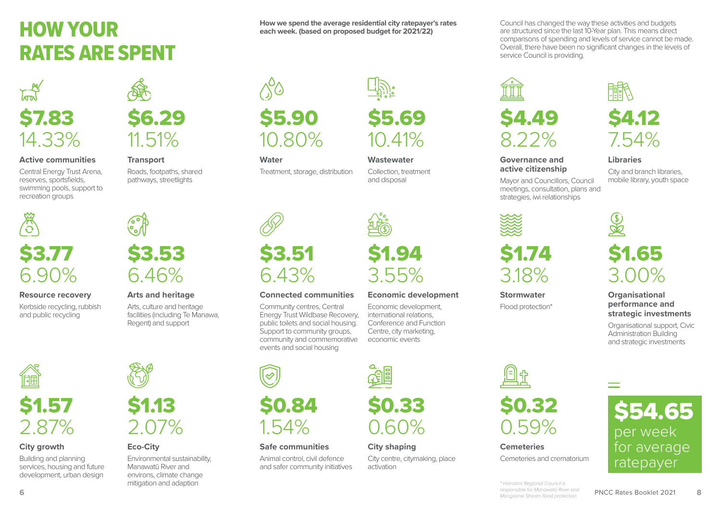### HOW YOUR RATES ARE SPENT





### **Active communities**

Central Energy Trust Arena, reserves, sportsfields, swimming pools, support to recreation groups



### 6.90%

### **Resource recovery**

Kerbside recycling, rubbish and public recycling



### **Transport** Roads, footpaths, shared

pathways, streetlights

**Arts and heritage** Arts, culture and heritage facilities (including Te Manawa, Regent) and support

\$3.53

6.46%



### **Water**

Treatment, storage, distribution



### **Connected communities**

Community centres, Central Energy Trust Wildbase Recovery, public toilets and social housing. Support to community groups, community and commemorative events and social housing



### **Safe communities**

Animal control, civil defence and safer community initiatives



**Wastewater** Collection, treatment and disposal

\$5.69

**How we spend the average residential city ratepayer's rates each week. (based on proposed budget for 2021/22)**

10.41%

\$1.94 3.55%

### **Economic development**

Economic development, international relations, Conference and Function Centre, city marketing, economic events

\$0.33 0.60%

### **City shaping**

City centre, citymaking, place activation

Council has changed the way these activities and budgets are structured since the last 10-Year plan. This means direct comparisons of spending and levels of service cannot be made. Overall, there have been no significant changes in the levels of service Council is providing.



#### **Governance and active citizenship**

Mayor and Councillors, Council meetings, consultation, plans and strategies, iwi relationships



### \$1.74 3.18%

**Stormwater** Flood protection\*

 $\bigcircled{\mathbb{Z}}$ \$1.65 3.00%

**Libraries**

\$4.12

7.54%

City and branch libraries, mobile library, youth space

### **Organisational performance and strategic investments**

Organisational support, Civic Administration Building and strategic investments



Cemeteries and crematorium



**6** PNCC Rates Booklet 2021 **6** PNCC Rates Booklet 2021 **8** *\* Horizons Regional Council is responsible for Manawatū River and Mangaone Stream flood protection* 

**City growth** Building and planning

\$1.57

丽

2.87%

# 2.07%

environs, climate change mitigation and adaption services, housing and future development, urban design



**Eco-City** Environmental sustainability, Manawatū River and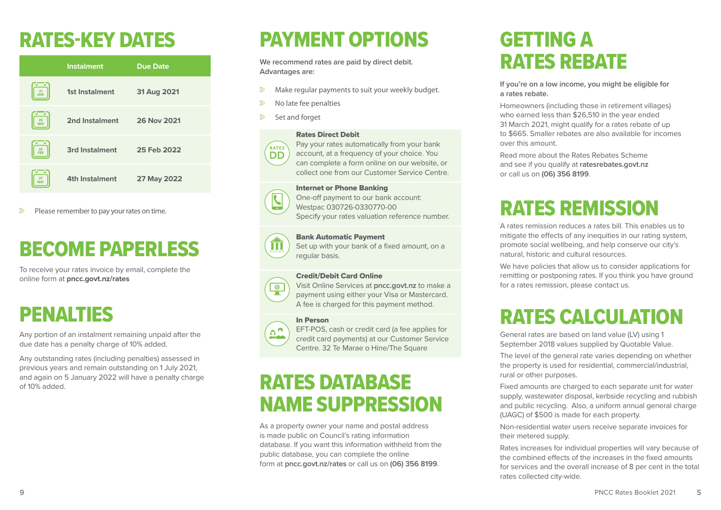### RATES-KEY DATES

|                  | <b>Instalment</b>     | <b>Due Date</b> |
|------------------|-----------------------|-----------------|
| 31<br><b>AUG</b> | 1st Instalment        | 31 Aug 2021     |
| 26<br><b>NOV</b> | 2nd Instalment        | 26 Nov 2021     |
| 25<br>FEB        | 3rd Instalment        | 25 Feb 2022     |
| 27               | <b>4th Instalment</b> | 27 May 2022     |

 $\triangleright$  Please remember to pay your rates on time.

### BECOME PAPERLESS

To receive your rates invoice by email, complete the online form at **pncc.govt.nz/rates** 

### PENALTIES

Any portion of an instalment remaining unpaid after the due date has a penalty charge of 10% added.

Any outstanding rates (including penalties) assessed in previous years and remain outstanding on 1 July 2021, and again on 5 January 2022 will have a penalty charge of 10% added.

## PAYMENT OPTIONS

**We recommend rates are paid by direct debit. Advantages are:**

- $\triangleright$  Make regular payments to suit your weekly budget.
- $\triangleright$  No late fee penalties
- Set and forget

#### Rates Direct Debit



Pay your rates automatically from your bank account, at a frequency of your choice. You can complete a form online on our website, or collect one from our Customer Service Centre.

#### Internet or Phone Banking

One-off payment to our bank account: Westpac 030726-0330770-00 Specify your rates valuation reference number.

#### Bank Automatic Payment



Set up with your bank of a fixed amount, on a regular basis.

#### Credit/Debit Card Online



#### In Person



 $\begin{array}{|c|} \hline \hline \end{array}$ 

EFT-POS, cash or credit card (a fee applies for credit card payments) at our Customer Service Centre. 32 Te Marae o Hine/The Square

### RATES DATABASE NAME SUPPRESSION

As a property owner your name and postal address is made public on Council's rating information database. If you want this information withheld from the public database, you can complete the online form at **pncc.govt.nz/rates** or call us on **(06) 356 8199**.

### GETTING A RATES REBATE

#### **If you're on a low income, you might be eligible for a rates rebate.**

Homeowners (including those in retirement villages) who earned less than \$26,510 in the year ended 31 March 2021, might qualify for a rates rebate of up to \$665. Smaller rebates are also available for incomes over this amount.

Read more about the Rates Rebates Scheme and see if you qualify at **ratesrebates.govt.nz** or call us on **(06) 356 8199**.

### RATES REMISSION

A rates remission reduces a rates bill. This enables us to mitigate the effects of any inequities in our rating system, promote social wellbeing, and help conserve our city's natural, historic and cultural resources.

We have policies that allow us to consider applications for remitting or postponing rates. If you think you have ground for a rates remission, please contact us.

### RATES CALCULATION

General rates are based on land value (LV) using 1 September 2018 values supplied by Quotable Value.

The level of the general rate varies depending on whether the property is used for residential, commercial/industrial, rural or other purposes.

Fixed amounts are charged to each separate unit for water supply, wastewater disposal, kerbside recycling and rubbish and public recycling. Also, a uniform annual general charge (UAGC) of \$500 is made for each property.

Non-residential water users receive separate invoices for their metered supply.

Rates increases for individual properties will vary because of the combined effects of the increases in the fixed amounts for services and the overall increase of 8 per cent in the total rates collected city-wide.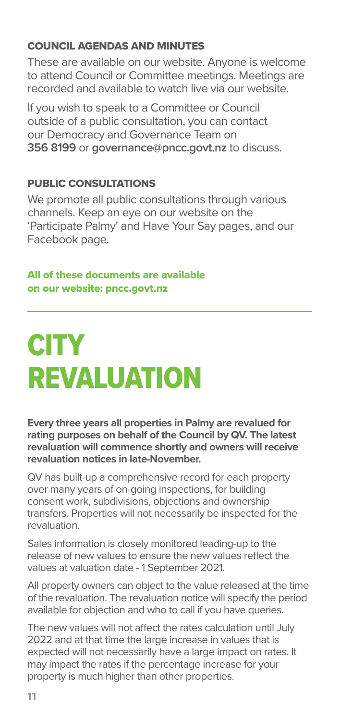#### COUNCIL AGENDAS AND MINUTES

These are available on our website. Anyone is welcome to attend Council or Committee meetings. Meetings are recorded and available to watch live via our website.

If you wish to speak to a Committee or Council outside of a public consultation, you can contact our Democracy and Governance Team on **356 8199** or **governance@pncc.govt.nz** to discuss.

#### PUBLIC CONSULTATIONS

We promote all public consultations through various channels. Keep an eye on our website on the 'Participate Palmy' and Have Your Say pages, and our Facebook page.

#### All of these documents are available on our website: pncc.govt.nz

### **CITY** REVALUATION

**Every three years all properties in Palmy are revalued for rating purposes on behalf of the Council by QV. The latest revaluation will commence shortly and owners will receive revaluation notices in late-November.** 

QV has built-up a comprehensive record for each property over many years of on-going inspections, for building consent work, subdivisions, objections and ownership transfers. Properties will not necessarily be inspected for the revaluation.

Sales information is closely monitored leading-up to the release of new values to ensure the new values reflect the values at valuation date - 1 September 2021.

All property owners can object to the value released at the time of the revaluation. The revaluation notice will specify the period available for objection and who to call if you have queries.

The new values will not affect the rates calculation until July 2022 and at that time the large increase in values that is expected will not necessarily have a large impact on rates. It may impact the rates if the percentage increase for your property is much higher than other properties.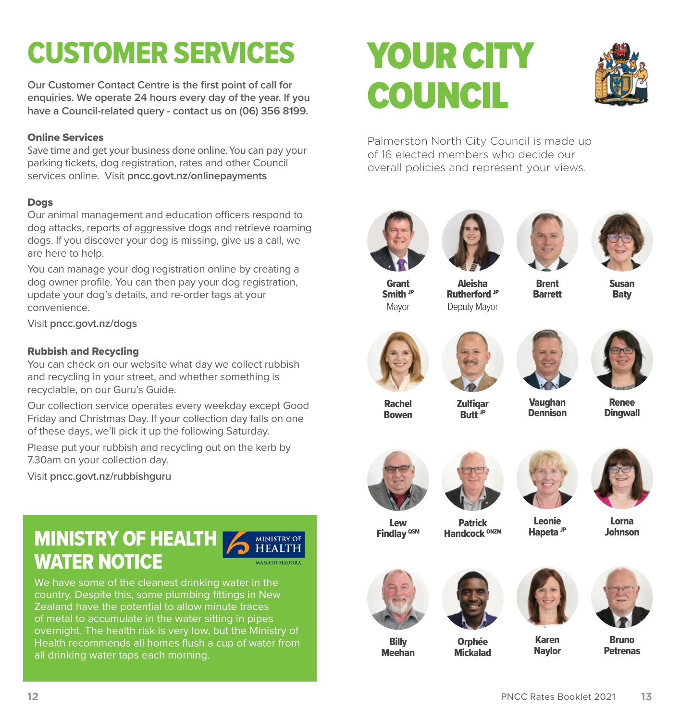### CUSTOMER SERVICES

**Our Customer Contact Centre is the first point of call for enquiries. We operate 24 hours every day of the year. If you have a Council-related query - contact us on (06) 356 8199.** 

#### Online Services

Save time and get your business done online. You can pay your parking tickets, dog registration, rates and other Council services online. Visit **pncc.govt.nz/onlinepayments**

#### Dogs

Our animal management and education officers respond to dog attacks, reports of aggressive dogs and retrieve roaming dogs. If you discover your dog is missing, give us a call, we are here to help.

You can manage your dog registration online by creating a dog owner profile. You can then pay your dog registration, update your dog's details, and re-order tags at your convenience.

Visit **pncc.govt.nz/dogs**

#### Rubbish and Recycling

You can check on our website what day we collect rubbish and recycling in your street, and whether something is recyclable, on our Guru's Guide.

Our collection service operates every weekday except Good Friday and Christmas Day. If your collection day falls on one of these days, we'll pick it up the following Saturday.

Please put your rubbish and recycling out on the kerb by 7.30am on your collection day.

Visit **pncc.govt.nz/rubbishguru**

#### MINISTRY OF HEALTH **MINISTRY OF HEALTH** WATER NOTICE **ANATU HAUO**



# YOUR CITY COUNCIL



Palmerston North City Council is made up of 16 elected members who decide our overall policies and represent your views.









Grant Smith JP Mayor

Aleisha Rutherford JP Deputy Mayor

**Brent** Barrett

Susan **Baty** 









Rachel Bowen

**Zulfigar** Butt<sup>'JP</sup>

Vaughan **Dennison** 

Leonie Hapeta JP

Renee **Dingwall** 



Patrick Handcock ONZM





Lorna Johnson



**Billy** 



**Orphée** 





Mickalad Meehan

Karen **Navlor** 

Bruno **Petrenas**